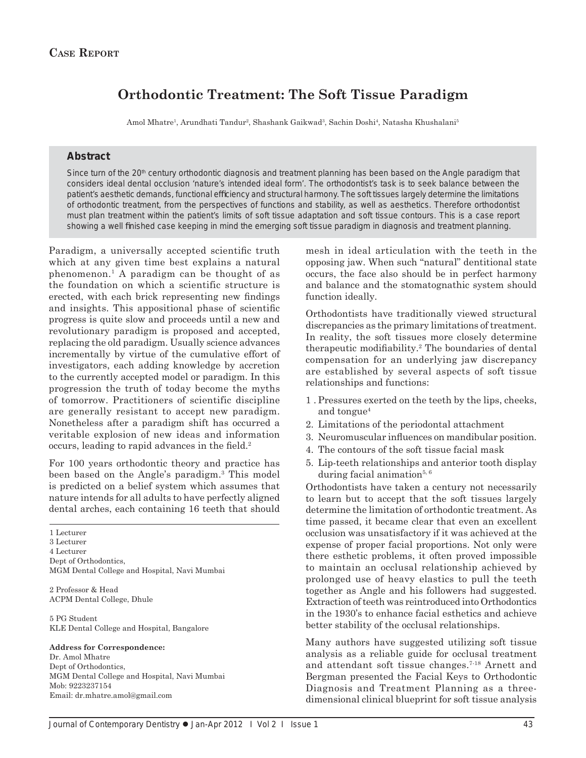# **Orthodontic Treatment: The Soft Tissue Paradigm**

Amol Mhatre<sup>1</sup>, Arundhati Tandur<sup>2</sup>, Shashank Gaikwad<sup>3</sup>, Sachin Doshi<sup>4</sup>, Natasha Khushalani<sup>5</sup>

#### **Abstract**

Since turn of the 20<sup>th</sup> century orthodontic diagnosis and treatment planning has been based on the Angle paradigm that considers ideal dental occlusion 'nature's intended ideal form'. The orthodontist's task is to seek balance between the patient's aesthetic demands, functional efficiency and structural harmony. The soft tissues largely determine the limitations of orthodontic treatment, from the perspectives of functions and stability, as well as aesthetics. Therefore orthodontist must plan treatment within the patient's limits of soft tissue adaptation and soft tissue contours. This is a case report showing a well finished case keeping in mind the emerging soft tissue paradigm in diagnosis and treatment planning.

Paradigm, a universally accepted scientific truth which at any given time best explains a natural phenomenon.1 A paradigm can be thought of as the foundation on which a scientific structure is erected, with each brick representing new findings and insights. This appositional phase of scientific progress is quite slow and proceeds until a new and revolutionary paradigm is proposed and accepted, replacing the old paradigm. Usually science advances incrementally by virtue of the cumulative effort of investigators, each adding knowledge by accretion to the currently accepted model or paradigm. In this progression the truth of today become the myths of tomorrow. Practitioners of scientific discipline are generally resistant to accept new paradigm. Nonetheless after a paradigm shift has occurred a veritable explosion of new ideas and information occurs, leading to rapid advances in the field.<sup>2</sup>

For 100 years orthodontic theory and practice has been based on the Angle's paradigm.<sup>3</sup> This model is predicted on a belief system which assumes that nature intends for all adults to have perfectly aligned dental arches, each containing 16 teeth that should

1 Lecturer 3 Lecturer 4 Lecturer Dept of Orthodontics, MGM Dental College and Hospital, Navi Mumbai

2 Professor & Head ACPM Dental College, Dhule

5 PG Student KLE Dental College and Hospital, Bangalore

#### **Address for Correspondence:**

Dr. Amol Mhatre Dept of Orthodontics, MGM Dental College and Hospital, Navi Mumbai Mob: 9223237154 Email: dr.mhatre.amol@gmail.com

mesh in ideal articulation with the teeth in the opposing jaw. When such "natural" dentitional state occurs, the face also should be in perfect harmony and balance and the stomatognathic system should function ideally.

Orthodontists have traditionally viewed structural discrepancies as the primary limitations of treatment. In reality, the soft tissues more closely determine therapeutic modifiability.<sup>2</sup> The boundaries of dental compensation for an underlying jaw discrepancy are established by several aspects of soft tissue relationships and functions:

- 1 . Pressures exerted on the teeth by the lips, cheeks, and tongue $4$
- 2. Limitations of the periodontal attachment
- 3. Neuromuscular influences on mandibular position.
- 4. The contours of the soft tissue facial mask
- 5. Lip-teeth relationships and anterior tooth display during facial animation<sup>5,  $6$ </sup>

Orthodontists have taken a century not necessarily to learn but to accept that the soft tissues largely determine the limitation of orthodontic treatment. As time passed, it became clear that even an excellent occlusion was unsatisfactory if it was achieved at the expense of proper facial proportions. Not only were there esthetic problems, it often proved impossible to maintain an occlusal relationship achieved by prolonged use of heavy elastics to pull the teeth together as Angle and his followers had suggested. Extraction of teeth was reintroduced into Orthodontics in the 1930's to enhance facial esthetics and achieve better stability of the occlusal relationships.

Many authors have suggested utilizing soft tissue analysis as a reliable guide for occlusal treatment and attendant soft tissue changes.7-18 Arnett and Bergman presented the Facial Keys to Orthodontic Diagnosis and Treatment Planning as a threedimensional clinical blueprint for soft tissue analysis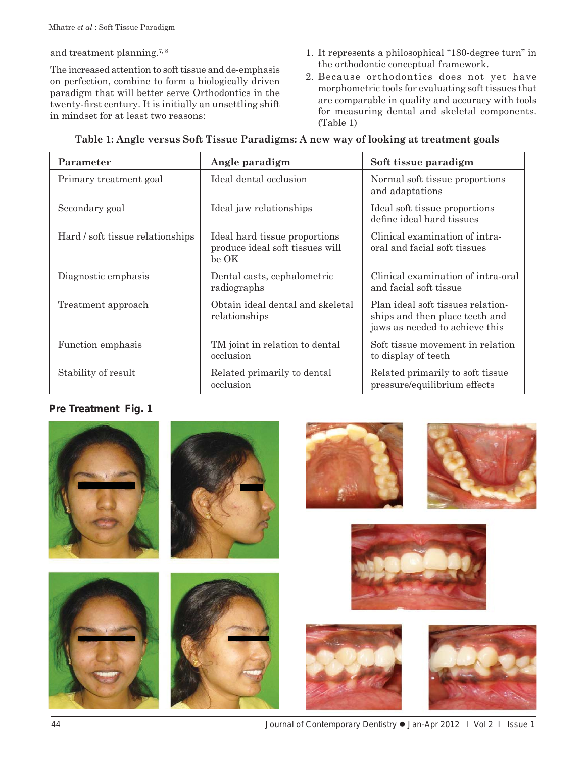and treatment planning.<sup>7, 8</sup>

The increased attention to soft tissue and de-emphasis on perfection, combine to form a biologically driven paradigm that will better serve Orthodontics in the twenty-first century. It is initially an unsettling shift in mindset for at least two reasons:

- 1. It represents a philosophical "180-degree turn" in the orthodontic conceptual framework.
- 2. Because orthodontics does not yet have morphometric tools for evaluating soft tissues that are comparable in quality and accuracy with tools for measuring dental and skeletal components. (Table 1)

| Parameter                        | Angle paradigm                                                             | Soft tissue paradigm                                                                                  |
|----------------------------------|----------------------------------------------------------------------------|-------------------------------------------------------------------------------------------------------|
| Primary treatment goal           | Ideal dental occlusion                                                     | Normal soft tissue proportions<br>and adaptations                                                     |
| Secondary goal                   | Ideal jaw relationships                                                    | Ideal soft tissue proportions<br>define ideal hard tissues                                            |
| Hard / soft tissue relationships | Ideal hard tissue proportions<br>produce ideal soft tissues will<br>be OK- | Clinical examination of intra-<br>oral and facial soft tissues                                        |
| Diagnostic emphasis              | Dental casts, cephalometric<br>radiographs                                 | Clinical examination of intra-oral<br>and facial soft tissue                                          |
| Treatment approach               | Obtain ideal dental and skeletal<br>relationships                          | Plan ideal soft tissues relation-<br>ships and then place teeth and<br>jaws as needed to achieve this |
| Function emphasis                | TM joint in relation to dental<br>occlusion                                | Soft tissue movement in relation<br>to display of teeth                                               |
| Stability of result              | Related primarily to dental<br>occlusion                                   | Related primarily to soft tissue<br>pressure/equilibrium effects                                      |

#### **Table 1: Angle versus Soft Tissue Paradigms: A new way of looking at treatment goals**

### **Pre Treatment Fig. 1**

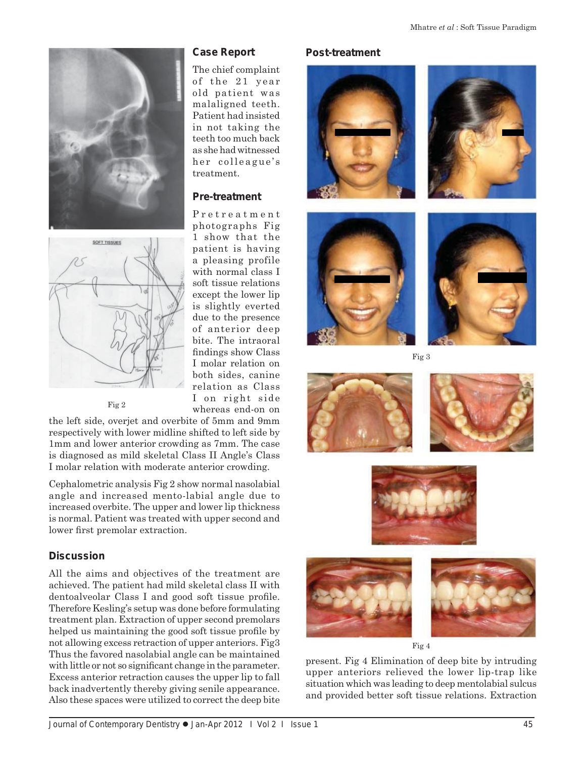



Fig 2

the left side, overjet and overbite of 5mm and 9mm respectively with lower midline shifted to left side by 1mm and lower anterior crowding as 7mm. The case is diagnosed as mild skeletal Class II Angle's Class I molar relation with moderate anterior crowding.

Cephalometric analysis Fig 2 show normal nasolabial angle and increased mento-labial angle due to increased overbite. The upper and lower lip thickness is normal. Patient was treated with upper second and lower first premolar extraction.

# **Discussion**

All the aims and objectives of the treatment are achieved. The patient had mild skeletal class II with dentoalveolar Class I and good soft tissue profile. Therefore Kesling's setup was done before formulating treatment plan. Extraction of upper second premolars helped us maintaining the good soft tissue profile by not allowing excess retraction of upper anteriors. Fig3 Thus the favored nasolabial angle can be maintained with little or not so significant change in the parameter. Excess anterior retraction causes the upper lip to fall back inadvertently thereby giving senile appearance. Also these spaces were utilized to correct the deep bite

### **Case Report**

The chief complaint of the 21 year old patient was malaligned teeth. Patient had insisted in not taking the teeth too much back as she had witnessed her colleague's treatment.

## **Pre-treatment**

Pretreatment photographs Fig 1 show that the patient is having a pleasing profile with normal class I soft tissue relations except the lower lip is slightly everted due to the presence of anterior deep bite. The intraoral findings show Class I molar relation on both sides, canine relation as Class I on right side whereas end-on on

### **Post-treatment**







Fig 3











Fig 4

present. Fig 4 Elimination of deep bite by intruding upper anteriors relieved the lower lip-trap like situation which was leading to deep mentolabial sulcus and provided better soft tissue relations. Extraction